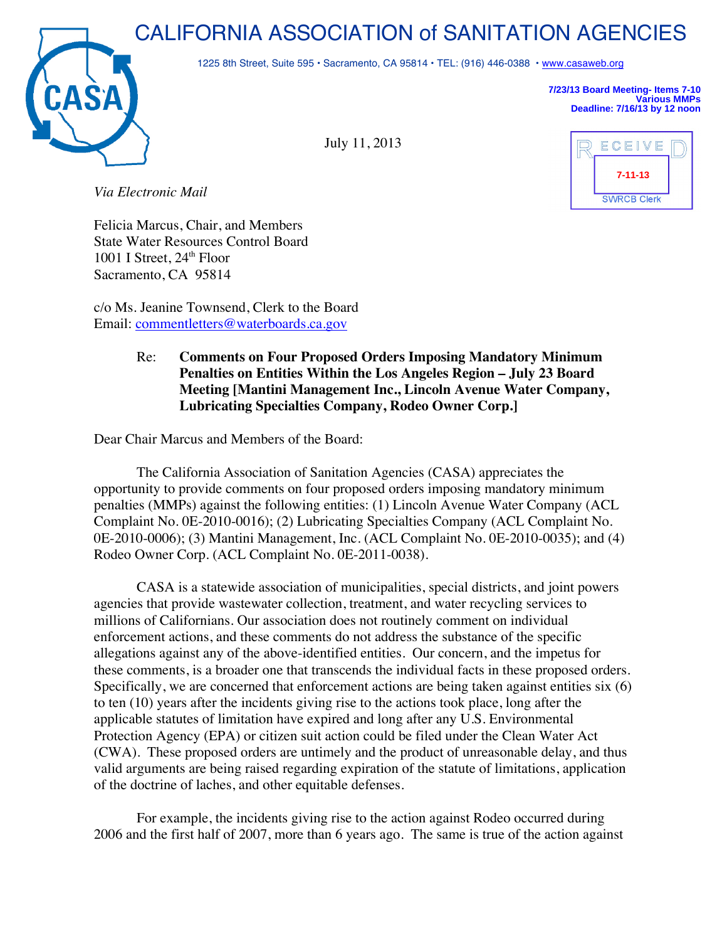## CALIFORNIA ASSOCIATION of SANITATION AGENCIES



1225 8th Street, Suite 595 • Sacramento, CA 95814 • TEL: (916) 446-0388 • www.casaweb.org

July 11, 2013

**7/23/13 Board Meeting- Items 7-10 Various MMPs Deadline: 7/16/13 by 12 noon**

*Via Electronic Mail*

Felicia Marcus, Chair, and Members State Water Resources Control Board 1001 I Street,  $24<sup>th</sup>$  Floor Sacramento, CA 95814

c/o Ms. Jeanine Townsend, Clerk to the Board Email: commentletters@waterboards.ca.gov

## Re: **Comments on Four Proposed Orders Imposing Mandatory Minimum Penalties on Entities Within the Los Angeles Region – July 23 Board Meeting [Mantini Management Inc., Lincoln Avenue Water Company, Lubricating Specialties Company, Rodeo Owner Corp.]**

Dear Chair Marcus and Members of the Board:

The California Association of Sanitation Agencies (CASA) appreciates the opportunity to provide comments on four proposed orders imposing mandatory minimum penalties (MMPs) against the following entities: (1) Lincoln Avenue Water Company (ACL Complaint No. 0E-2010-0016); (2) Lubricating Specialties Company (ACL Complaint No. 0E-2010-0006); (3) Mantini Management, Inc. (ACL Complaint No. 0E-2010-0035); and (4) Rodeo Owner Corp. (ACL Complaint No. 0E-2011-0038).

CASA is a statewide association of municipalities, special districts, and joint powers agencies that provide wastewater collection, treatment, and water recycling services to millions of Californians. Our association does not routinely comment on individual enforcement actions, and these comments do not address the substance of the specific allegations against any of the above-identified entities. Our concern, and the impetus for these comments, is a broader one that transcends the individual facts in these proposed orders. Specifically, we are concerned that enforcement actions are being taken against entities six (6) to ten (10) years after the incidents giving rise to the actions took place, long after the applicable statutes of limitation have expired and long after any U.S. Environmental Protection Agency (EPA) or citizen suit action could be filed under the Clean Water Act (CWA). These proposed orders are untimely and the product of unreasonable delay, and thus valid arguments are being raised regarding expiration of the statute of limitations, application of the doctrine of laches, and other equitable defenses.

For example, the incidents giving rise to the action against Rodeo occurred during 2006 and the first half of 2007, more than 6 years ago. The same is true of the action against

| ECEIVE             |  |
|--------------------|--|
| $7 - 11 - 13$      |  |
| <b>SWRCB Clerk</b> |  |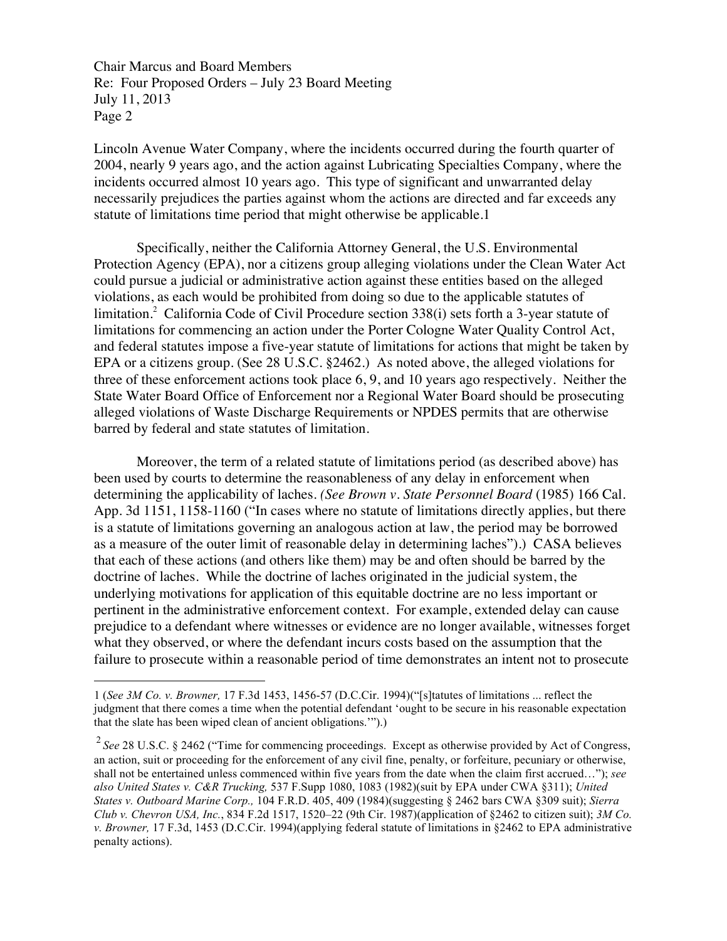Chair Marcus and Board Members Re: Four Proposed Orders – July 23 Board Meeting July 11, 2013 Page 2

 $\overline{a}$ 

Lincoln Avenue Water Company, where the incidents occurred during the fourth quarter of 2004, nearly 9 years ago, and the action against Lubricating Specialties Company, where the incidents occurred almost 10 years ago. This type of significant and unwarranted delay necessarily prejudices the parties against whom the actions are directed and far exceeds any statute of limitations time period that might otherwise be applicable.1

Specifically, neither the California Attorney General, the U.S. Environmental Protection Agency (EPA), nor a citizens group alleging violations under the Clean Water Act could pursue a judicial or administrative action against these entities based on the alleged violations, as each would be prohibited from doing so due to the applicable statutes of limitation.<sup>2</sup> California Code of Civil Procedure section 338(i) sets forth a 3-year statute of limitations for commencing an action under the Porter Cologne Water Quality Control Act, and federal statutes impose a five-year statute of limitations for actions that might be taken by EPA or a citizens group. (See 28 U.S.C. §2462.) As noted above, the alleged violations for three of these enforcement actions took place 6, 9, and 10 years ago respectively. Neither the State Water Board Office of Enforcement nor a Regional Water Board should be prosecuting alleged violations of Waste Discharge Requirements or NPDES permits that are otherwise barred by federal and state statutes of limitation.

Moreover, the term of a related statute of limitations period (as described above) has been used by courts to determine the reasonableness of any delay in enforcement when determining the applicability of laches. *(See Brown v. State Personnel Board* (1985) 166 Cal. App. 3d 1151, 1158-1160 ("In cases where no statute of limitations directly applies, but there is a statute of limitations governing an analogous action at law, the period may be borrowed as a measure of the outer limit of reasonable delay in determining laches").) CASA believes that each of these actions (and others like them) may be and often should be barred by the doctrine of laches. While the doctrine of laches originated in the judicial system, the underlying motivations for application of this equitable doctrine are no less important or pertinent in the administrative enforcement context. For example, extended delay can cause prejudice to a defendant where witnesses or evidence are no longer available, witnesses forget what they observed, or where the defendant incurs costs based on the assumption that the failure to prosecute within a reasonable period of time demonstrates an intent not to prosecute

<sup>1</sup> (*See 3M Co. v. Browner,* 17 F.3d 1453, 1456-57 (D.C.Cir. 1994)("[s]tatutes of limitations ... reflect the judgment that there comes a time when the potential defendant 'ought to be secure in his reasonable expectation that the slate has been wiped clean of ancient obligations.'").)

<sup>&</sup>lt;sup>2</sup> See 28 U.S.C. § 2462 ("Time for commencing proceedings. Except as otherwise provided by Act of Congress, an action, suit or proceeding for the enforcement of any civil fine, penalty, or forfeiture, pecuniary or otherwise, shall not be entertained unless commenced within five years from the date when the claim first accrued…"); *see also United States v. C&R Trucking,* 537 F.Supp 1080, 1083 (1982)(suit by EPA under CWA §311); *United States v. Outboard Marine Corp.,* 104 F.R.D. 405, 409 (1984)(suggesting § 2462 bars CWA §309 suit); *Sierra Club v. Chevron USA, Inc.*, 834 F.2d 1517, 1520–22 (9th Cir. 1987)(application of §2462 to citizen suit); *3M Co. v. Browner,* 17 F.3d, 1453 (D.C.Cir. 1994)(applying federal statute of limitations in §2462 to EPA administrative penalty actions).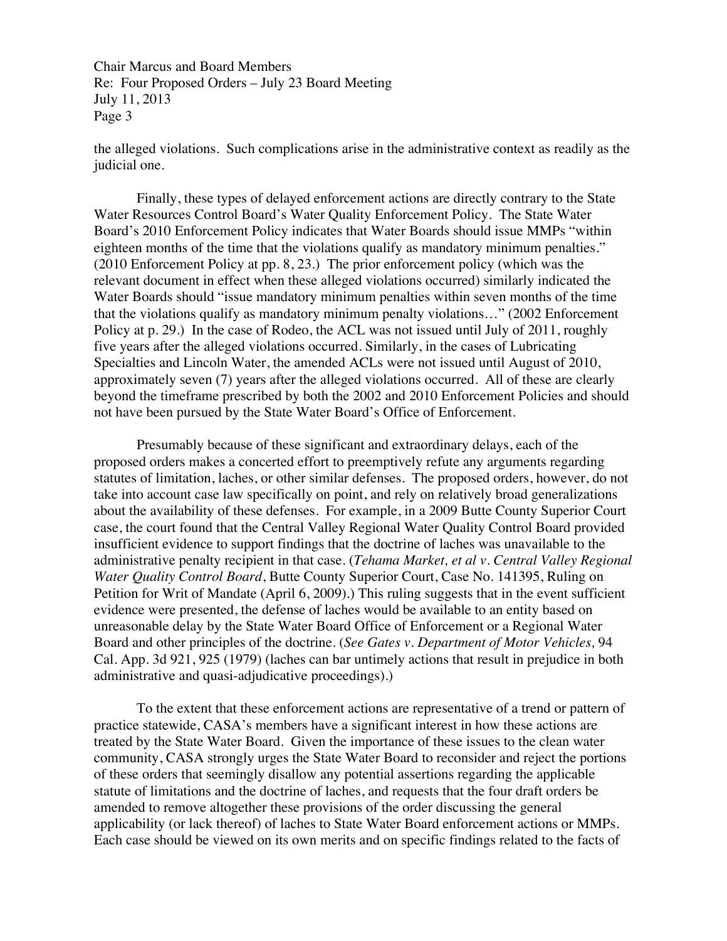Chair Marcus and Board Members Re: Four Proposed Orders – July 23 Board Meeting July 11, 2013 Page 3

the alleged violations. Such complications arise in the administrative context as readily as the judicial one.

Finally, these types of delayed enforcement actions are directly contrary to the State Water Resources Control Board's Water Quality Enforcement Policy. The State Water Board's 2010 Enforcement Policy indicates that Water Boards should issue MMPs "within eighteen months of the time that the violations qualify as mandatory minimum penalties." (2010 Enforcement Policy at pp. 8, 23.) The prior enforcement policy (which was the relevant document in effect when these alleged violations occurred) similarly indicated the Water Boards should "issue mandatory minimum penalties within seven months of the time that the violations qualify as mandatory minimum penalty violations…" (2002 Enforcement Policy at p. 29.) In the case of Rodeo, the ACL was not issued until July of 2011, roughly five years after the alleged violations occurred. Similarly, in the cases of Lubricating Specialties and Lincoln Water, the amended ACLs were not issued until August of 2010, approximately seven (7) years after the alleged violations occurred. All of these are clearly beyond the timeframe prescribed by both the 2002 and 2010 Enforcement Policies and should not have been pursued by the State Water Board's Office of Enforcement.

Presumably because of these significant and extraordinary delays, each of the proposed orders makes a concerted effort to preemptively refute any arguments regarding statutes of limitation, laches, or other similar defenses. The proposed orders, however, do not take into account case law specifically on point, and rely on relatively broad generalizations about the availability of these defenses. For example, in a 2009 Butte County Superior Court case, the court found that the Central Valley Regional Water Quality Control Board provided insufficient evidence to support findings that the doctrine of laches was unavailable to the administrative penalty recipient in that case. (*Tehama Market, et al v. Central Valley Regional Water Quality Control Board*, Butte County Superior Court, Case No. 141395, Ruling on Petition for Writ of Mandate (April 6, 2009).) This ruling suggests that in the event sufficient evidence were presented, the defense of laches would be available to an entity based on unreasonable delay by the State Water Board Office of Enforcement or a Regional Water Board and other principles of the doctrine. (*See Gates v. Department of Motor Vehicles,* 94 Cal. App. 3d 921, 925 (1979) (laches can bar untimely actions that result in prejudice in both administrative and quasi-adjudicative proceedings).)

To the extent that these enforcement actions are representative of a trend or pattern of practice statewide, CASA's members have a significant interest in how these actions are treated by the State Water Board. Given the importance of these issues to the clean water community, CASA strongly urges the State Water Board to reconsider and reject the portions of these orders that seemingly disallow any potential assertions regarding the applicable statute of limitations and the doctrine of laches, and requests that the four draft orders be amended to remove altogether these provisions of the order discussing the general applicability (or lack thereof) of laches to State Water Board enforcement actions or MMPs. Each case should be viewed on its own merits and on specific findings related to the facts of